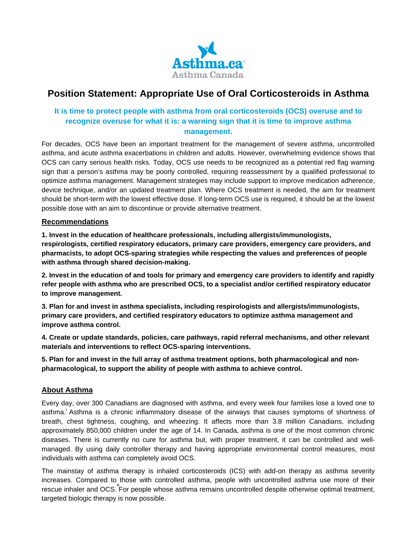

# **Position Statement: Appropriate Use of Oral Corticosteroids in Asthma**

## **It is time to protect people with asthma from oral corticosteroids (OCS) overuse and to recognize overuse for what it is: a warning sign that it is time to improve asthma management.**

For decades, OCS have been an important treatment for the management of severe asthma, uncontrolled asthma, and acute asthma exacerbations in children and adults. However, overwhelming evidence shows that OCS can carry serious health risks. Today, OCS use needs to be recognized as a potential red flag warning sign that a person's asthma may be poorly controlled, requiring reassessment by a qualified professional to optimize asthma management. Management strategies may include support to improve medication adherence, device technique, and/or an updated treatment plan. Where OCS treatment is needed, the aim for treatment should be short-term with the lowest effective dose. If long-term OCS use is required, it should be at the lowest possible dose with an aim to discontinue or provide alternative treatment.

#### **Recommendations**

**1. Invest in the education of healthcare professionals, including allergists/immunologists, respirologists, certified respiratory educators, primary care providers, emergency care providers, and pharmacists, to adopt OCS-sparing strategies while respecting the values and preferences of people with asthma through shared decision-making.**

2. Invest in the education of and tools for primary and emergency care providers to identify and rapidly **refer people with asthma who are prescribed OCS, to a specialist and/or certified respiratory educator to improve management.**

**3. Plan for and invest in asthma specialists, including respirologists and allergists/immunologists, primary care providers, and certified respiratory educators to optimize asthma management and improve asthma control.**

**4. Create or update standards, policies, care pathways, rapid referral mechanisms, and other relevant materials and interventions to reflect OCS-sparing interventions.**

**5. Plan for and invest in the full array of asthma treatment options, both pharmacological and nonpharmacological, to support the ability of people with asthma to achieve control.**

### **About Asthma**

Every day, over 300 Canadians are diagnosed with asthma, and every week four families lose a loved one to asthma.<sup>'</sup> Asthma is a chronic inflammatory disease of the airways that causes symptoms of shortness of breath, chest tightness, coughing, and wheezing. It affects more than 3.8 million Canadians, including approximately 850,000 children under the age of 14. In Canada, asthma is one of the most common chronic diseases. There is currently no cure for asthma but, with proper treatment, it can be controlled and wellmanaged. By using daily controller therapy and having appropriate environmental control measures, most individuals with asthma can completely avoid OCS.

The mainstay of asthma therapy is inhaled corticosteroids (ICS) with add-on therapy as asthma severity increases. Compared to those with controlled asthma, people with uncontrolled asthma use more of their rescue inhaler and OCS. For people whose asthma remains uncontrolled despite otherwise optimal treatment, **ii**targeted biologic therapy is now possible.